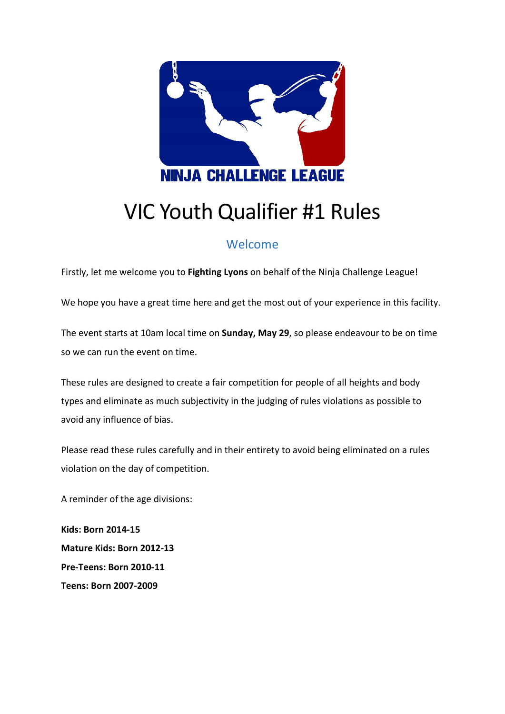

# VIC Youth Qualifier #1 Rules

# Welcome

Firstly, let me welcome you to **Fighting Lyons** on behalf of the Ninja Challenge League!

We hope you have a great time here and get the most out of your experience in this facility.

The event starts at 10am local time on **Sunday, May 29**, so please endeavour to be on time so we can run the event on time.

These rules are designed to create a fair competition for people of all heights and body types and eliminate as much subjectivity in the judging of rules violations as possible to avoid any influence of bias.

Please read these rules carefully and in their entirety to avoid being eliminated on a rules violation on the day of competition.

A reminder of the age divisions:

**Kids: Born 2014-15 Mature Kids: Born 2012-13 Pre-Teens: Born 2010-11 Teens: Born 2007-2009**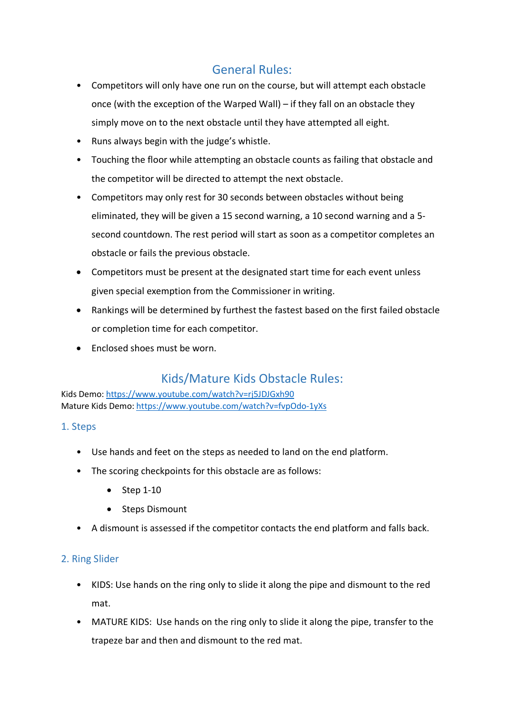# General Rules:

- Competitors will only have one run on the course, but will attempt each obstacle once (with the exception of the Warped Wall) – if they fall on an obstacle they simply move on to the next obstacle until they have attempted all eight.
- Runs always begin with the judge's whistle.
- Touching the floor while attempting an obstacle counts as failing that obstacle and the competitor will be directed to attempt the next obstacle.
- Competitors may only rest for 30 seconds between obstacles without being eliminated, they will be given a 15 second warning, a 10 second warning and a 5 second countdown. The rest period will start as soon as a competitor completes an obstacle or fails the previous obstacle.
- Competitors must be present at the designated start time for each event unless given special exemption from the Commissioner in writing.
- Rankings will be determined by furthest the fastest based on the first failed obstacle or completion time for each competitor.
- Enclosed shoes must be worn.

# Kids/Mature Kids Obstacle Rules:

Kids Demo:<https://www.youtube.com/watch?v=rj5JDJGxh90> Mature Kids Demo:<https://www.youtube.com/watch?v=fvpOdo-1yXs>

# 1. Steps

- Use hands and feet on the steps as needed to land on the end platform.
- The scoring checkpoints for this obstacle are as follows:
	- $\bullet$  Step 1-10
	- Steps Dismount
- A dismount is assessed if the competitor contacts the end platform and falls back.

# 2. Ring Slider

- KIDS: Use hands on the ring only to slide it along the pipe and dismount to the red mat.
- MATURE KIDS: Use hands on the ring only to slide it along the pipe, transfer to the trapeze bar and then and dismount to the red mat.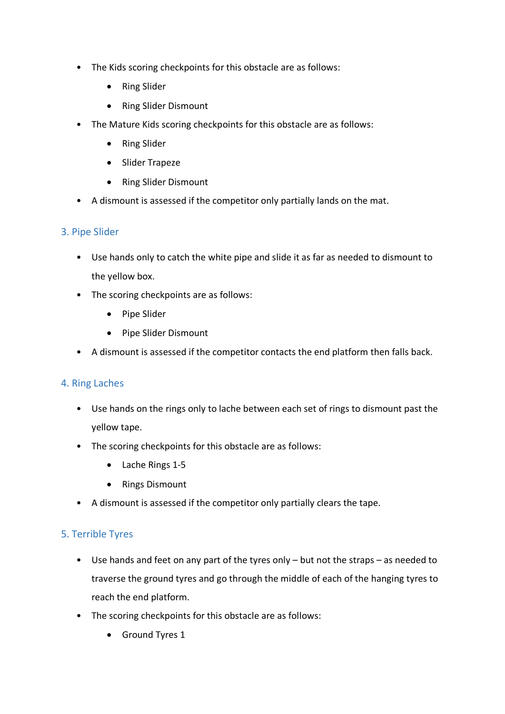- The Kids scoring checkpoints for this obstacle are as follows:
	- Ring Slider
	- Ring Slider Dismount
- The Mature Kids scoring checkpoints for this obstacle are as follows:
	- Ring Slider
	- Slider Trapeze
	- Ring Slider Dismount
- A dismount is assessed if the competitor only partially lands on the mat.

## 3. Pipe Slider

- Use hands only to catch the white pipe and slide it as far as needed to dismount to the yellow box.
- The scoring checkpoints are as follows:
	- Pipe Slider
	- Pipe Slider Dismount
- A dismount is assessed if the competitor contacts the end platform then falls back.

## 4. Ring Laches

- Use hands on the rings only to lache between each set of rings to dismount past the yellow tape.
- The scoring checkpoints for this obstacle are as follows:
	- Lache Rings 1-5
	- Rings Dismount
- A dismount is assessed if the competitor only partially clears the tape.

# 5. Terrible Tyres

- Use hands and feet on any part of the tyres only but not the straps as needed to traverse the ground tyres and go through the middle of each of the hanging tyres to reach the end platform.
- The scoring checkpoints for this obstacle are as follows:
	- Ground Tyres 1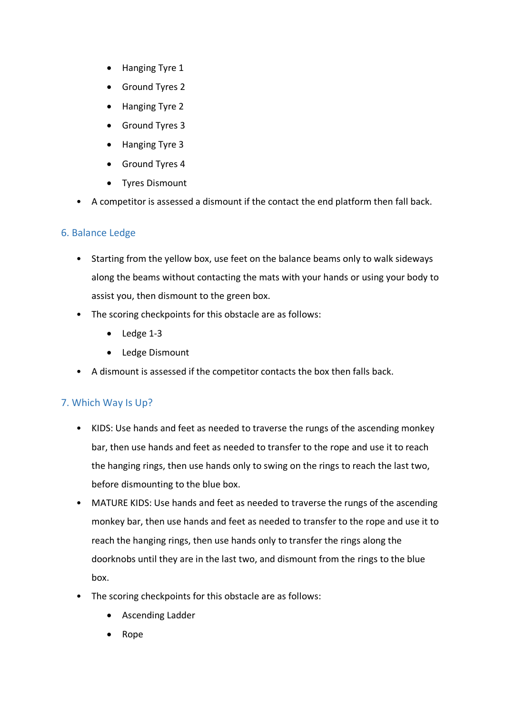- Hanging Tyre 1
- Ground Tyres 2
- Hanging Tyre 2
- Ground Tyres 3
- Hanging Tyre 3
- Ground Tyres 4
- Tyres Dismount
- A competitor is assessed a dismount if the contact the end platform then fall back.

## 6. Balance Ledge

- Starting from the yellow box, use feet on the balance beams only to walk sideways along the beams without contacting the mats with your hands or using your body to assist you, then dismount to the green box.
- The scoring checkpoints for this obstacle are as follows:
	- Ledge 1-3
	- Ledge Dismount
- A dismount is assessed if the competitor contacts the box then falls back.

## 7. Which Way Is Up?

- KIDS: Use hands and feet as needed to traverse the rungs of the ascending monkey bar, then use hands and feet as needed to transfer to the rope and use it to reach the hanging rings, then use hands only to swing on the rings to reach the last two, before dismounting to the blue box.
- MATURE KIDS: Use hands and feet as needed to traverse the rungs of the ascending monkey bar, then use hands and feet as needed to transfer to the rope and use it to reach the hanging rings, then use hands only to transfer the rings along the doorknobs until they are in the last two, and dismount from the rings to the blue box.
- The scoring checkpoints for this obstacle are as follows:
	- Ascending Ladder
	- Rope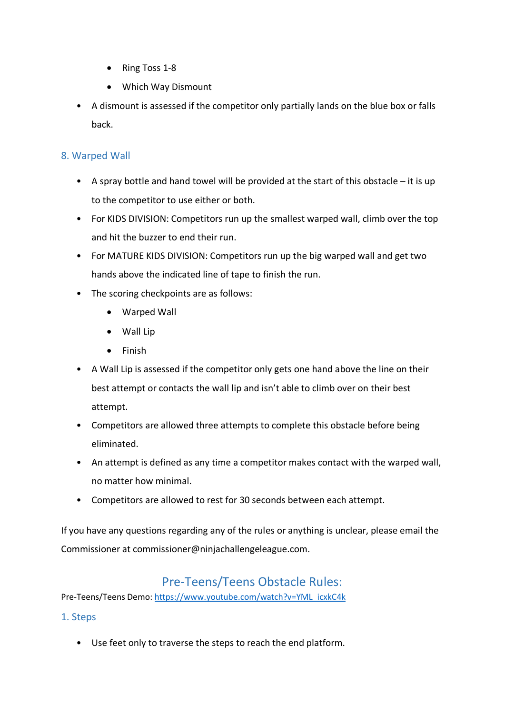- Ring Toss 1-8
- Which Way Dismount
- A dismount is assessed if the competitor only partially lands on the blue box or falls back.

## 8. Warped Wall

- A spray bottle and hand towel will be provided at the start of this obstacle it is up to the competitor to use either or both.
- For KIDS DIVISION: Competitors run up the smallest warped wall, climb over the top and hit the buzzer to end their run.
- For MATURE KIDS DIVISION: Competitors run up the big warped wall and get two hands above the indicated line of tape to finish the run.
- The scoring checkpoints are as follows:
	- Warped Wall
	- Wall Lip
	- Finish
- A Wall Lip is assessed if the competitor only gets one hand above the line on their best attempt or contacts the wall lip and isn't able to climb over on their best attempt.
- Competitors are allowed three attempts to complete this obstacle before being eliminated.
- An attempt is defined as any time a competitor makes contact with the warped wall, no matter how minimal.
- Competitors are allowed to rest for 30 seconds between each attempt.

If you have any questions regarding any of the rules or anything is unclear, please email the Commissioner at commissioner@ninjachallengeleague.com.

# Pre-Teens/Teens Obstacle Rules:

Pre-Teens/Teens Demo: [https://www.youtube.com/watch?v=YML\\_icxkC4k](https://www.youtube.com/watch?v=YML_icxkC4k) 

## 1. Steps

• Use feet only to traverse the steps to reach the end platform.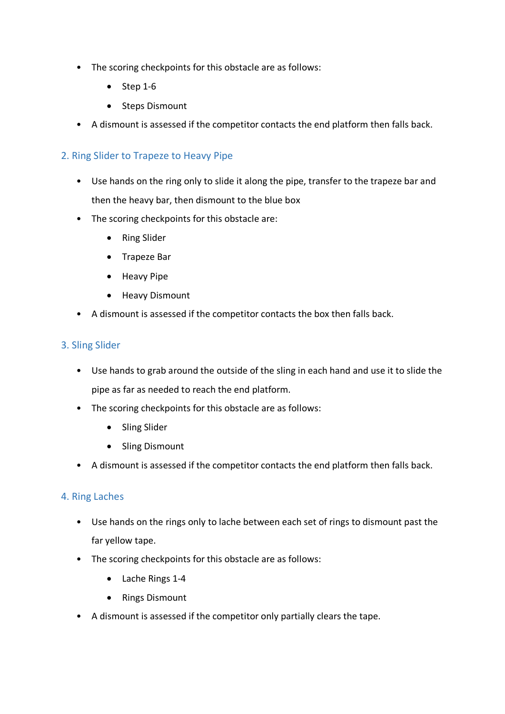- The scoring checkpoints for this obstacle are as follows:
	- Step 1-6
	- Steps Dismount
- A dismount is assessed if the competitor contacts the end platform then falls back.

# 2. Ring Slider to Trapeze to Heavy Pipe

- Use hands on the ring only to slide it along the pipe, transfer to the trapeze bar and then the heavy bar, then dismount to the blue box
- The scoring checkpoints for this obstacle are:
	- Ring Slider
	- Trapeze Bar
	- Heavy Pipe
	- Heavy Dismount
- A dismount is assessed if the competitor contacts the box then falls back.

## 3. Sling Slider

- Use hands to grab around the outside of the sling in each hand and use it to slide the pipe as far as needed to reach the end platform.
- The scoring checkpoints for this obstacle are as follows:
	- Sling Slider
	- Sling Dismount
- A dismount is assessed if the competitor contacts the end platform then falls back.

## 4. Ring Laches

- Use hands on the rings only to lache between each set of rings to dismount past the far yellow tape.
- The scoring checkpoints for this obstacle are as follows:
	- Lache Rings 1-4
	- Rings Dismount
- A dismount is assessed if the competitor only partially clears the tape.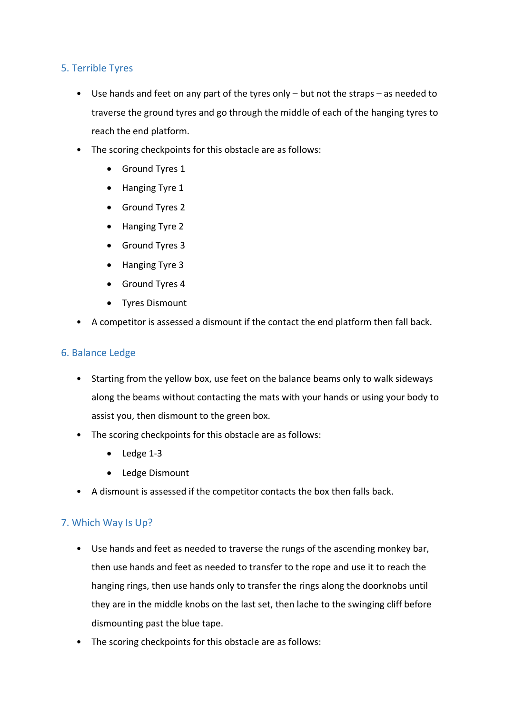## 5. Terrible Tyres

- Use hands and feet on any part of the tyres only but not the straps as needed to traverse the ground tyres and go through the middle of each of the hanging tyres to reach the end platform.
- The scoring checkpoints for this obstacle are as follows:
	- Ground Tyres 1
	- Hanging Tyre 1
	- Ground Tyres 2
	- Hanging Tyre 2
	- Ground Tyres 3
	- Hanging Tyre 3
	- Ground Tyres 4
	- Tyres Dismount
- A competitor is assessed a dismount if the contact the end platform then fall back.

## 6. Balance Ledge

- Starting from the yellow box, use feet on the balance beams only to walk sideways along the beams without contacting the mats with your hands or using your body to assist you, then dismount to the green box.
- The scoring checkpoints for this obstacle are as follows:
	- Ledge 1-3
	- Ledge Dismount
- A dismount is assessed if the competitor contacts the box then falls back.

## 7. Which Way Is Up?

- Use hands and feet as needed to traverse the rungs of the ascending monkey bar, then use hands and feet as needed to transfer to the rope and use it to reach the hanging rings, then use hands only to transfer the rings along the doorknobs until they are in the middle knobs on the last set, then lache to the swinging cliff before dismounting past the blue tape.
- The scoring checkpoints for this obstacle are as follows: